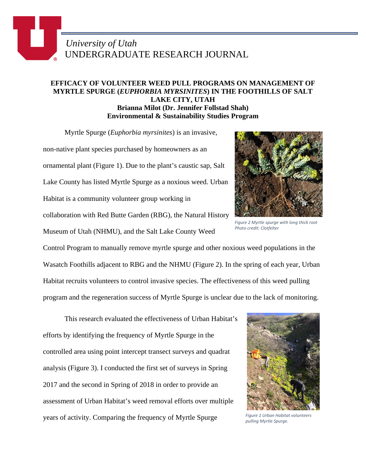## *University of Utah* UNDERGRADUATE RESEARCH JOURNAL

## **EFFICACY OF VOLUNTEER WEED PULL PROGRAMS ON MANAGEMENT OF MYRTLE SPURGE (***EUPHORBIA MYRSINITES***) IN THE FOOTHILLS OF SALT LAKE CITY, UTAH Brianna Milot (Dr. Jennifer Follstad Shah) Environmental & Sustainability Studies Program**

Myrtle Spurge (*Euphorbia myrsinites*) is an invasive,

non-native plant species purchased by homeowners as an ornamental plant (Figure 1). Due to the plant's caustic sap, Salt Lake County has listed Myrtle Spurge as a noxious weed. Urban Habitat is a community volunteer group working in collaboration with Red Butte Garden (RBG), the Natural History Museum of Utah (NHMU), and the Salt Lake County Weed



*Figure 2 Myrtle spurge with long thick root Photo credit: Clotfelter*

Control Program to manually remove myrtle spurge and other noxious weed populations in the Wasatch Foothills adjacent to RBG and the NHMU (Figure 2). In the spring of each year, Urban Habitat recruits volunteers to control invasive species. The effectiveness of this weed pulling program and the regeneration success of Myrtle Spurge is unclear due to the lack of monitoring.

This research evaluated the effectiveness of Urban Habitat's efforts by identifying the frequency of Myrtle Spurge in the controlled area using point intercept transect surveys and quadrat analysis (Figure 3). I conducted the first set of surveys in Spring 2017 and the second in Spring of 2018 in order to provide an assessment of Urban Habitat's weed removal efforts over multiple years of activity. Comparing the frequency of Myrtle Spurge



*Figure 1 Urban Habitat volunteers pulling Myrtle Spurge.*